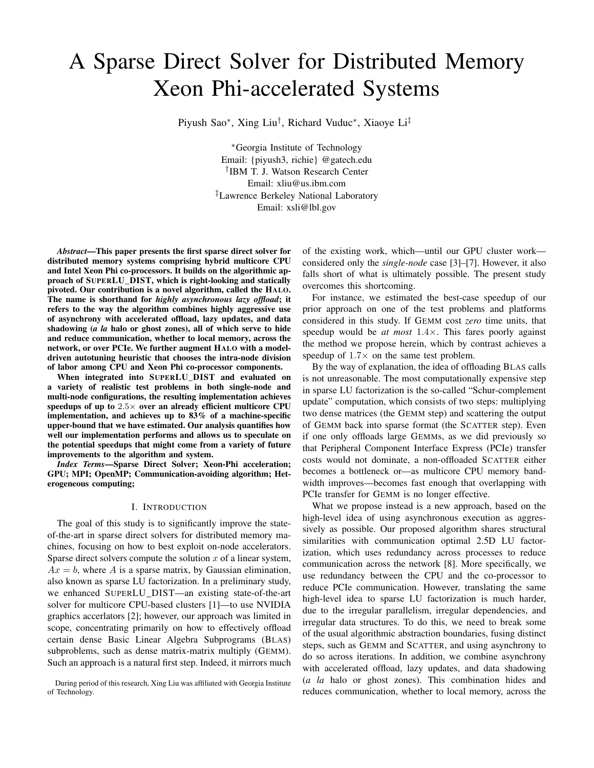# A Sparse Direct Solver for Distributed Memory Xeon Phi-accelerated Systems

Piyush Sao<sup>∗</sup>, Xing Liu<sup>†</sup>, Richard Vuduc<sup>∗</sup>, Xiaoye Li<sup>‡</sup>

<sup>∗</sup>Georgia Institute of Technology Email: {piyush3, richie} @gatech.edu † IBM T. J. Watson Research Center Email: xliu@us.ibm.com ‡Lawrence Berkeley National Laboratory Email: xsli@lbl.gov

*Abstract*—This paper presents the first sparse direct solver for distributed memory systems comprising hybrid multicore CPU and Intel Xeon Phi co-processors. It builds on the algorithmic approach of SUPERLU\_DIST, which is right-looking and statically pivoted. Our contribution is a novel algorithm, called the HALO. The name is shorthand for *highly asynchronous lazy offload*; it refers to the way the algorithm combines highly aggressive use of asynchrony with accelerated offload, lazy updates, and data shadowing (*a la* halo or ghost zones), all of which serve to hide and reduce communication, whether to local memory, across the network, or over PCIe. We further augment HALO with a modeldriven autotuning heuristic that chooses the intra-node division of labor among CPU and Xeon Phi co-processor components.

When integrated into SUPERLU\_DIST and evaluated on a variety of realistic test problems in both single-node and multi-node configurations, the resulting implementation achieves speedups of up to  $2.5\times$  over an already efficient multicore CPU implementation, and achieves up to 83% of a machine-specific upper-bound that we have estimated. Our analysis quantifies how well our implementation performs and allows us to speculate on the potential speedups that might come from a variety of future improvements to the algorithm and system.

*Index Terms*—Sparse Direct Solver; Xeon-Phi acceleration; GPU; MPI; OpenMP; Communication-avoiding algorithm; Heterogeneous computing;

## I. INTRODUCTION

The goal of this study is to significantly improve the stateof-the-art in sparse direct solvers for distributed memory machines, focusing on how to best exploit on-node accelerators. Sparse direct solvers compute the solution  $x$  of a linear system,  $Ax = b$ , where A is a sparse matrix, by Gaussian elimination, also known as sparse LU factorization. In a preliminary study, we enhanced SUPERLU\_DIST—an existing state-of-the-art solver for multicore CPU-based clusters [1]—to use NVIDIA graphics accerlators [2]; however, our approach was limited in scope, concentrating primarily on how to effectively offload certain dense Basic Linear Algebra Subprograms (BLAS) subproblems, such as dense matrix-matrix multiply (GEMM). Such an approach is a natural first step. Indeed, it mirrors much

of the existing work, which—until our GPU cluster work considered only the *single-node* case [3]–[7]. However, it also falls short of what is ultimately possible. The present study overcomes this shortcoming.

For instance, we estimated the best-case speedup of our prior approach on one of the test problems and platforms considered in this study. If GEMM cost *zero* time units, that speedup would be *at most* 1.4×. This fares poorly against the method we propose herein, which by contrast achieves a speedup of  $1.7\times$  on the same test problem.

By the way of explanation, the idea of offloading BLAS calls is not unreasonable. The most computationally expensive step in sparse LU factorization is the so-called "Schur-complement update" computation, which consists of two steps: multiplying two dense matrices (the GEMM step) and scattering the output of GEMM back into sparse format (the SCATTER step). Even if one only offloads large GEMMs, as we did previously so that Peripheral Component Interface Express (PCIe) transfer costs would not dominate, a non-offloaded SCATTER either becomes a bottleneck or—as multicore CPU memory bandwidth improves—becomes fast enough that overlapping with PCIe transfer for GEMM is no longer effective.

What we propose instead is a new approach, based on the high-level idea of using asynchronous execution as aggressively as possible. Our proposed algorithm shares structural similarities with communication optimal 2.5D LU factorization, which uses redundancy across processes to reduce communication across the network [8]. More specifically, we use redundancy between the CPU and the co-processor to reduce PCIe communication. However, translating the same high-level idea to sparse LU factorization is much harder, due to the irregular parallelism, irregular dependencies, and irregular data structures. To do this, we need to break some of the usual algorithmic abstraction boundaries, fusing distinct steps, such as GEMM and SCATTER, and using asynchrony to do so across iterations. In addition, we combine asynchrony with accelerated offload, lazy updates, and data shadowing (*a la* halo or ghost zones). This combination hides and reduces communication, whether to local memory, across the

During period of this research, Xing Liu was affiliated with Georgia Institute of Technology.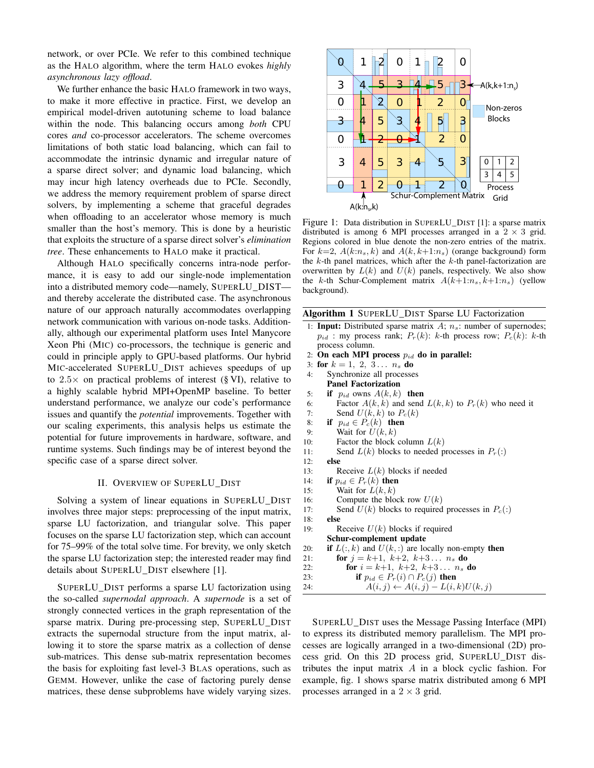network, or over PCIe. We refer to this combined technique as the HALO algorithm, where the term HALO evokes *highly asynchronous lazy offload*.

We further enhance the basic HALO framework in two ways, to make it more effective in practice. First, we develop an empirical model-driven autotuning scheme to load balance within the node. This balancing occurs among *both* CPU cores *and* co-processor accelerators. The scheme overcomes limitations of both static load balancing, which can fail to accommodate the intrinsic dynamic and irregular nature of a sparse direct solver; and dynamic load balancing, which may incur high latency overheads due to PCIe. Secondly, we address the memory requirement problem of sparse direct solvers, by implementing a scheme that graceful degrades when offloading to an accelerator whose memory is much smaller than the host's memory. This is done by a heuristic that exploits the structure of a sparse direct solver's *elimination tree*. These enhancements to HALO make it practical.

Although HALO specifically concerns intra-node performance, it is easy to add our single-node implementation into a distributed memory code—namely, SUPERLU\_DIST and thereby accelerate the distributed case. The asynchronous nature of our approach naturally accommodates overlapping network communication with various on-node tasks. Additionally, although our experimental platform uses Intel Manycore Xeon Phi (MIC) co-processors, the technique is generic and could in principle apply to GPU-based platforms. Our hybrid MIC-accelerated SUPERLU\_DIST achieves speedups of up to  $2.5\times$  on practical problems of interest (§ VI), relative to a highly scalable hybrid MPI+OpenMP baseline. To better understand performance, we analyze our code's performance issues and quantify the *potential* improvements. Together with our scaling experiments, this analysis helps us estimate the potential for future improvements in hardware, software, and runtime systems. Such findings may be of interest beyond the specific case of a sparse direct solver.

## II. OVERVIEW OF SUPERLU\_DIST

Solving a system of linear equations in SUPERLU\_DIST involves three major steps: preprocessing of the input matrix, sparse LU factorization, and triangular solve. This paper focuses on the sparse LU factorization step, which can account for 75–99% of the total solve time. For brevity, we only sketch the sparse LU factorization step; the interested reader may find details about SUPERLU\_DIST elsewhere [1].

SUPERLU\_DIST performs a sparse LU factorization using the so-called *supernodal approach*. A *supernode* is a set of strongly connected vertices in the graph representation of the sparse matrix. During pre-processing step, SUPERLU\_DIST extracts the supernodal structure from the input matrix, allowing it to store the sparse matrix as a collection of dense sub-matrices. This dense sub-matrix representation becomes the basis for exploiting fast level-3 BLAS operations, such as GEMM. However, unlike the case of factoring purely dense matrices, these dense subproblems have widely varying sizes.



Figure 1: Data distribution in SUPERLU\_DIST [1]: a sparse matrix distributed is among 6 MPI processes arranged in a  $2 \times 3$  grid. Regions colored in blue denote the non-zero entries of the matrix. For  $k=2$ ,  $A(k:n_s, k)$  and  $A(k, k+1:n_s)$  (orange background) form the  $k$ -th panel matrices, which after the  $k$ -th panel-factorization are overwritten by  $L(k)$  and  $U(k)$  panels, respectively. We also show the k-th Schur-Complement matrix  $A(k+1:n_s, k+1:n_s)$  (yellow background).

|  |  |  |  |  |  | Algorithm 1 SUPERLU_DIST Sparse LU Factorization |
|--|--|--|--|--|--|--------------------------------------------------|
|--|--|--|--|--|--|--------------------------------------------------|

- 1: **Input:** Distributed sparse matrix  $A$ ;  $n_s$ : number of supernodes;  $p_{id}$ : my process rank;  $P_r(k)$ : k-th process row;  $P_c(k)$ : k-th process column.
- 2: On each MPI process  $p_{id}$  do in parallel:
- 3: for  $k = 1, 2, 3... n_s$  do
- 4: Synchronize all processes
- Panel Factorization
- 5: if  $p_{id}$  owns  $A(k, k)$  then
- 6: Factor  $A(k, k)$  and send  $L(k, k)$  to  $P_r(k)$  who need it 7: Send  $U(k, k)$  to  $P_c(k)$
- 8: if  $p_{id} \in P_c(k)$  then
- 9: Wait for  $U(k, k)$
- 10: Factor the block column  $L(k)$
- 11: Send  $L(k)$  blocks to needed processes in  $P_r($ :)
- 12: else 13: Receive  $L(k)$  blocks if needed 14: if  $p_{id} \in P_r(k)$  then 15: Wait for  $L(k, k)$ 16: Compute the block row  $U(k)$ 17: Send  $U(k)$  blocks to required processes in  $P_c($ :) 18: else 19: Receive  $U(k)$  blocks if required Schur-complement update 20: **if**  $L(:, k)$  and  $U(k, :)$  are locally non-empty **then** 21: **for**  $j = k+1, k+2, k+3... n_s$  **do** 22: **for**  $i = k+1, k+2, k+3... n_s$  **do** 23: **if**  $p_{id} \in P_r(i) \cap P_c(j)$  then 24:  $A(i, j) \leftarrow A(i, j) - L(i, k)U(k, j)$
- SUPERLU\_DIST uses the Message Passing Interface (MPI) to express its distributed memory parallelism. The MPI processes are logically arranged in a two-dimensional (2D) process grid. On this 2D process grid, SUPERLU\_DIST distributes the input matrix A in a block cyclic fashion. For example, fig. 1 shows sparse matrix distributed among 6 MPI processes arranged in a  $2 \times 3$  grid.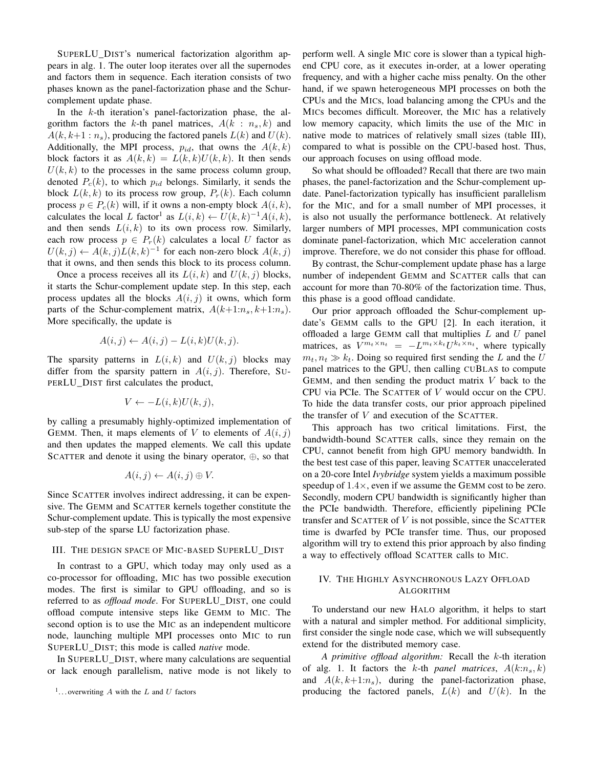SUPERLU\_DIST's numerical factorization algorithm appears in alg. 1. The outer loop iterates over all the supernodes and factors them in sequence. Each iteration consists of two phases known as the panel-factorization phase and the Schurcomplement update phase.

In the  $k$ -th iteration's panel-factorization phase, the algorithm factors the k-th panel matrices,  $A(k : n_s, k)$  and  $A(k, k+1:n_s)$ , producing the factored panels  $L(k)$  and  $U(k)$ . Additionally, the MPI process,  $p_{id}$ , that owns the  $A(k, k)$ block factors it as  $A(k, k) = L(k, k)U(k, k)$ . It then sends  $U(k, k)$  to the processes in the same process column group, denoted  $P_c(k)$ , to which  $p_{id}$  belongs. Similarly, it sends the block  $L(k, k)$  to its process row group,  $P_r(k)$ . Each column process  $p \in P_c(k)$  will, if it owns a non-empty block  $A(i, k)$ , calculates the local L factor<sup>1</sup> as  $L(i,k) \leftarrow U(k,k)^{-1}A(i,k)$ , and then sends  $L(i, k)$  to its own process row. Similarly, each row process  $p \in P_r(k)$  calculates a local U factor as  $U(k, j) \leftarrow A(k, j)L(k, k)^{-1}$  for each non-zero block  $A(k, j)$ that it owns, and then sends this block to its process column.

Once a process receives all its  $L(i,k)$  and  $U(k, j)$  blocks, it starts the Schur-complement update step. In this step, each process updates all the blocks  $A(i, j)$  it owns, which form parts of the Schur-complement matrix,  $A(k+1:n_s, k+1:n_s)$ . More specifically, the update is

$$
A(i,j) \leftarrow A(i,j) - L(i,k)U(k,j).
$$

The sparsity patterns in  $L(i, k)$  and  $U(k, j)$  blocks may differ from the sparsity pattern in  $A(i, j)$ . Therefore, SU-PERLU\_DIST first calculates the product,

$$
V \leftarrow -L(i,k)U(k,j),
$$

by calling a presumably highly-optimized implementation of GEMM. Then, it maps elements of V to elements of  $A(i, j)$ and then updates the mapped elements. We call this update SCATTER and denote it using the binary operator, ⊕, so that

$$
A(i,j) \leftarrow A(i,j) \oplus V.
$$

Since SCATTER involves indirect addressing, it can be expensive. The GEMM and SCATTER kernels together constitute the Schur-complement update. This is typically the most expensive sub-step of the sparse LU factorization phase.

#### III. THE DESIGN SPACE OF MIC-BASED SUPERLU\_DIST

In contrast to a GPU, which today may only used as a co-processor for offloading, MIC has two possible execution modes. The first is similar to GPU offloading, and so is referred to as *offload mode*. For SUPERLU\_DIST, one could offload compute intensive steps like GEMM to MIC. The second option is to use the MIC as an independent multicore node, launching multiple MPI processes onto MIC to run SUPERLU\_DIST; this mode is called *native* mode.

In SUPERLU\_DIST, where many calculations are sequential or lack enough parallelism, native mode is not likely to perform well. A single MIC core is slower than a typical highend CPU core, as it executes in-order, at a lower operating frequency, and with a higher cache miss penalty. On the other hand, if we spawn heterogeneous MPI processes on both the CPUs and the MICs, load balancing among the CPUs and the MICs becomes difficult. Moreover, the MIC has a relatively low memory capacity, which limits the use of the MIC in native mode to matrices of relatively small sizes (table III), compared to what is possible on the CPU-based host. Thus, our approach focuses on using offload mode.

So what should be offloaded? Recall that there are two main phases, the panel-factorization and the Schur-complement update. Panel-factorization typically has insufficient parallelism for the MIC, and for a small number of MPI processes, it is also not usually the performance bottleneck. At relatively larger numbers of MPI processes, MPI communication costs dominate panel-factorization, which MIC acceleration cannot improve. Therefore, we do not consider this phase for offload.

By contrast, the Schur-complement update phase has a large number of independent GEMM and SCATTER calls that can account for more than 70-80% of the factorization time. Thus, this phase is a good offload candidate.

Our prior approach offloaded the Schur-complement update's GEMM calls to the GPU [2]. In each iteration, it offloaded a large GEMM call that multiplies  $L$  and  $U$  panel matrices, as  $V^{m_t \times n_t} = -L^{m_t \times k_t} U^{k_t \times n_t}$ , where typically  $m_t, n_t \gg k_t$ . Doing so required first sending the L and the U panel matrices to the GPU, then calling CUBLAS to compute GEMM, and then sending the product matrix  $V$  back to the CPU via PCIe. The SCATTER of V would occur on the CPU. To hide the data transfer costs, our prior approach pipelined the transfer of  $V$  and execution of the SCATTER.

This approach has two critical limitations. First, the bandwidth-bound SCATTER calls, since they remain on the CPU, cannot benefit from high GPU memory bandwidth. In the best test case of this paper, leaving SCATTER unaccelerated on a 20-core Intel *Ivybridge* system yields a maximum possible speedup of  $1.4 \times$ , even if we assume the GEMM cost to be zero. Secondly, modern CPU bandwidth is significantly higher than the PCIe bandwidth. Therefore, efficiently pipelining PCIe transfer and SCATTER of  $V$  is not possible, since the SCATTER time is dwarfed by PCIe transfer time. Thus, our proposed algorithm will try to extend this prior approach by also finding a way to effectively offload SCATTER calls to MIC.

## IV. THE HIGHLY ASYNCHRONOUS LAZY OFFLOAD ALGORITHM

To understand our new HALO algorithm, it helps to start with a natural and simpler method. For additional simplicity, first consider the single node case, which we will subsequently extend for the distributed memory case.

*A primitive offload algorithm:* Recall the k-th iteration of alg. 1. It factors the k-th *panel matrices*,  $A(k:n_s, k)$ and  $A(k, k+1:n<sub>s</sub>)$ , during the panel-factorization phase, producing the factored panels,  $L(k)$  and  $U(k)$ . In the

<sup>&</sup>lt;sup>1</sup>... overwriting A with the L and U factors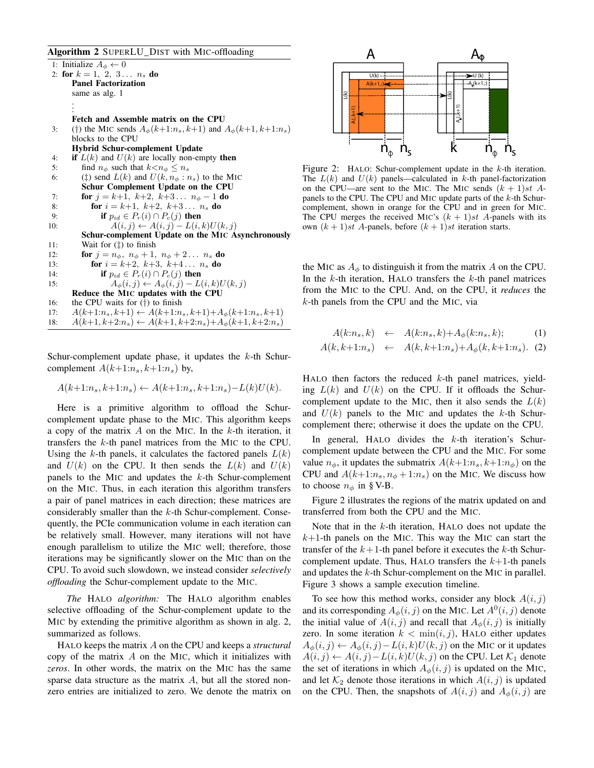## Algorithm 2 SUPERLU\_DIST with MIC-offloading

1: Initialize  $A_{\phi} \leftarrow 0$ 2: for  $k = 1, 2, 3... n_s$  do Panel Factorization same as alg. 1 . . . Fetch and Assemble matrix on the CPU 3: (†) the MIC sends  $A_{\phi}(k+1:n_s, k+1)$  and  $A_{\phi}(k+1, k+1:n_s)$ blocks to the CPU Hybrid Schur-complement Update 4: if  $L(k)$  and  $U(k)$  are locally non-empty then 5: find  $n_{\phi}$  such that  $k < n_{\phi} \leq n_s$ 6: ( $\ddagger$ ) send  $L(k)$  and  $U(k, n_{\phi} : n_s)$  to the MIC Schur Complement Update on the CPU 7: **for**  $j = k+1, k+2, k+3... n_{\phi} - 1$  **do** 8: **for**  $i = k+1, k+2, k+3... n_s$  **do** 9: **if**  $p_{id} \in P_r(i) \cap P_c(j)$  then 10:  $A(i, j) \leftarrow A(i, j) - L(i, k)U(k, j)$ Schur-complement Update on the MIC Asynchronously 11: Wait for (‡) to finish 12: **for**  $j = n_{\phi}, n_{\phi} + 1, n_{\phi} + 2... n_s$  **do** 13: **for**  $i = k+2, k+3, k+4... n_s$  **do** 14: **if**  $p_{id} \in P_r(i) \cap P_c(j)$  then 15:  $A_{\phi}(i, j) \leftarrow A_{\phi}(i, j) - L(i, k)U(k, j)$ Reduce the MIC updates with the CPU 16: the CPU waits for (†) to finish 17:  $A(k+1:n_s, k+1) \leftarrow A(k+1:n_s, k+1) + A_{\phi}(k+1:n_s, k+1)$ 18:  $A(k+1, k+2:n_s) \leftarrow A(k+1, k+2:n_s) + A_{\phi}(k+1, k+2:n_s)$ 

Schur-complement update phase, it updates the  $k$ -th Schurcomplement  $A(k+1:n_s, k+1:n_s)$  by,

$$
A(k+1:n_s, k+1:n_s) \leftarrow A(k+1:n_s, k+1:n_s) - L(k)U(k).
$$

Here is a primitive algorithm to offload the Schurcomplement update phase to the MIC. This algorithm keeps a copy of the matrix  $A$  on the MIC. In the  $k$ -th iteration, it transfers the k-th panel matrices from the MIC to the CPU. Using the k-th panels, it calculates the factored panels  $L(k)$ and  $U(k)$  on the CPU. It then sends the  $L(k)$  and  $U(k)$ panels to the MIC and updates the  $k$ -th Schur-complement on the MIC. Thus, in each iteration this algorithm transfers a pair of panel matrices in each direction; these matrices are considerably smaller than the  $k$ -th Schur-complement. Consequently, the PCIe communication volume in each iteration can be relatively small. However, many iterations will not have enough parallelism to utilize the MIC well; therefore, those iterations may be significantly slower on the MIC than on the CPU. To avoid such slowdown, we instead consider *selectively offloading* the Schur-complement update to the MIC.

*The* HALO *algorithm:* The HALO algorithm enables selective offloading of the Schur-complement update to the MIC by extending the primitive algorithm as shown in alg. 2, summarized as follows.

HALO keeps the matrix A on the CPU and keeps a *structural* copy of the matrix A on the MIC, which it initializes with *zeros*. In other words, the matrix on the MIC has the same sparse data structure as the matrix  $A$ , but all the stored nonzero entries are initialized to zero. We denote the matrix on



Figure 2: HALO: Schur-complement update in the k-th iteration. The  $L(k)$  and  $U(k)$  panels—calculated in k-th panel-factorization on the CPU—are sent to the MIC. The MIC sends  $(k + 1)st$  Apanels to the CPU. The CPU and MIC update parts of the  $k$ -th Schurcomplement, shown in orange for the CPU and in green for MIC. The CPU merges the received MIC's  $(k + 1)st$  A-panels with its own  $(k + 1)$ st A-panels, before  $(k + 1)$ st iteration starts.

the MIC as  $A_{\phi}$  to distinguish it from the matrix A on the CPU. In the  $k$ -th iteration, HALO transfers the  $k$ -th panel matrices from the MIC to the CPU. And, on the CPU, it *reduces* the k-th panels from the CPU and the MIC, via

$$
A(k:n_s, k) \leftarrow A(k:n_s, k) + A_{\phi}(k:n_s, k); \tag{1}
$$

$$
A(k, k+1:n_s) \leftarrow A(k, k+1:n_s) + A_{\phi}(k, k+1:n_s). \tag{2}
$$

HALO then factors the reduced  $k$ -th panel matrices, yielding  $L(k)$  and  $U(k)$  on the CPU. If it offloads the Schurcomplement update to the MIC, then it also sends the  $L(k)$ and  $U(k)$  panels to the MIC and updates the k-th Schurcomplement there; otherwise it does the update on the CPU.

In general, HALO divides the  $k$ -th iteration's Schurcomplement update between the CPU and the MIC. For some value  $n_{\phi}$ , it updates the submatrix  $A(k+1:n_s, k+1:n_{\phi})$  on the CPU and  $A(k+1:n_s, n_\phi+1:n_s)$  on the MIC. We discuss how to choose  $n_{\phi}$  in § V-B.

Figure 2 illustrates the regions of the matrix updated on and transferred from both the CPU and the MIC.

Note that in the  $k$ -th iteration, HALO does not update the  $k+1$ -th panels on the MIC. This way the MIC can start the transfer of the  $k+1$ -th panel before it executes the k-th Schurcomplement update. Thus, HALO transfers the  $k+1$ -th panels and updates the k-th Schur-complement on the MIC in parallel. Figure 3 shows a sample execution timeline.

To see how this method works, consider any block  $A(i, j)$ and its corresponding  $A_{\phi}(i, j)$  on the MIC. Let  $A^{0}(i, j)$  denote the initial value of  $A(i, j)$  and recall that  $A_{\phi}(i, j)$  is initially zero. In some iteration  $k < \min(i, j)$ , HALO either updates  $A_{\phi}(i, j) \leftarrow A_{\phi}(i, j) - L(i, k)U(k, j)$  on the MIC or it updates  $A(i, j) \leftarrow A(i, j) - L(i, k)U(k, j)$  on the CPU. Let  $\mathcal{K}_1$  denote the set of iterations in which  $A_{\phi}(i, j)$  is updated on the MIC, and let  $\mathcal{K}_2$  denote those iterations in which  $A(i, j)$  is updated on the CPU. Then, the snapshots of  $A(i, j)$  and  $A_{\phi}(i, j)$  are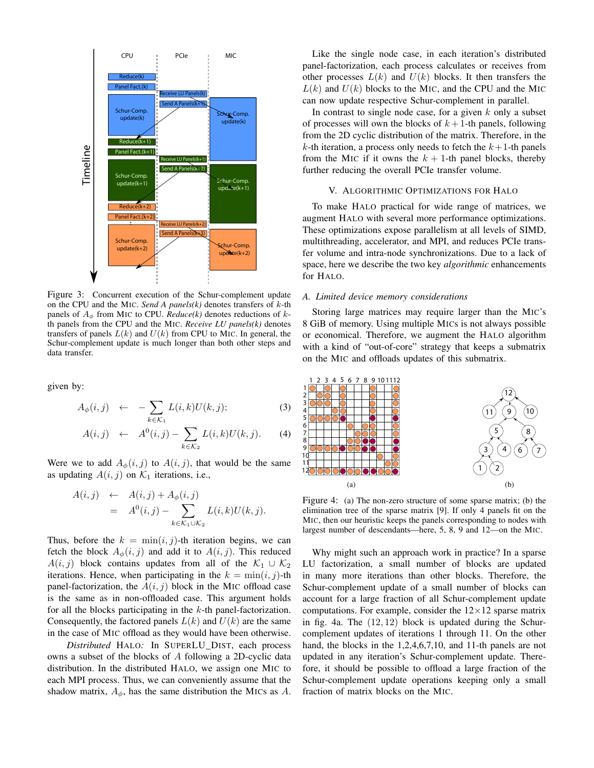

Figure 3: Concurrent execution of the Schur-complement update on the CPU and the MIC. *Send A panels(k)* denotes transfers of k-th panels of  $A_{\phi}$  from MIC to CPU. *Reduce*(*k*) denotes reductions of *k*th panels from the CPU and the MIC. *Receive LU panels(k)* denotes transfers of panels  $L(k)$  and  $U(k)$  from CPU to MIC. In general, the Schur-complement update is much longer than both other steps and data transfer.

given by:

$$
A_{\phi}(i,j) \leftarrow -\sum_{k \in \mathcal{K}_1} L(i,k)U(k,j); \tag{3}
$$

$$
A(i,j) \leftarrow A^{0}(i,j) - \sum_{k \in \mathcal{K}_{2}} L(i,k)U(k,j). \qquad (4)
$$

Were we to add  $A_{\phi}(i, j)$  to  $A(i, j)$ , that would be the same as updating  $A(i, j)$  on  $\mathcal{K}_1$  iterations, i.e.,

$$
A(i,j) \leftarrow A(i,j) + A_{\phi}(i,j)
$$
  
= 
$$
A^{0}(i,j) - \sum_{k \in \mathcal{K}_{1} \cup \mathcal{K}_{2}} L(i,k)U(k,j).
$$

Thus, before the  $k = \min(i, j)$ -th iteration begins, we can fetch the block  $A_{\phi}(i, j)$  and add it to  $A(i, j)$ . This reduced  $A(i, j)$  block contains updates from all of the  $\mathcal{K}_1 \cup \mathcal{K}_2$ iterations. Hence, when participating in the  $k = \min(i, j)$ -th panel-factorization, the  $A(i, j)$  block in the MIC offload case is the same as in non-offloaded case. This argument holds for all the blocks participating in the  $k$ -th panel-factorization. Consequently, the factored panels  $L(k)$  and  $U(k)$  are the same in the case of MIC offload as they would have been otherwise.

*Distributed* HALO*:* In SUPERLU\_DIST, each process owns a subset of the blocks of A following a 2D-cyclic data distribution. In the distributed HALO, we assign one MIC to each MPI process. Thus, we can conveniently assume that the shadow matrix,  $A_{\phi}$ , has the same distribution the MICs as A.

Like the single node case, in each iteration's distributed panel-factorization, each process calculates or receives from other processes  $L(k)$  and  $U(k)$  blocks. It then transfers the  $L(k)$  and  $U(k)$  blocks to the MIC, and the CPU and the MIC can now update respective Schur-complement in parallel.

In contrast to single node case, for a given  $k$  only a subset of processes will own the blocks of  $k+1$ -th panels, following from the 2D cyclic distribution of the matrix. Therefore, in the k-th iteration, a process only needs to fetch the  $k+1$ -th panels from the MIC if it owns the  $k + 1$ -th panel blocks, thereby further reducing the overall PCIe transfer volume.

### V. ALGORITHMIC OPTIMIZATIONS FOR HALO

To make HALO practical for wide range of matrices, we augment HALO with several more performance optimizations. These optimizations expose parallelism at all levels of SIMD, multithreading, accelerator, and MPI, and reduces PCIe transfer volume and intra-node synchronizations. Due to a lack of space, here we describe the two key *algorithmic* enhancements for HALO.

#### *A. Limited device memory considerations*

Storing large matrices may require larger than the MIC's 8 GiB of memory. Using multiple MICs is not always possible or economical. Therefore, we augment the HALO algorithm with a kind of "out-of-core" strategy that keeps a submatrix on the MIC and offloads updates of this submatrix.



Figure 4: (a) The non-zero structure of some sparse matrix; (b) the elimination tree of the sparse matrix [9]. If only 4 panels fit on the MIC, then our heuristic keeps the panels corresponding to nodes with largest number of descendants—here, 5, 8, 9 and 12—on the MIC.

Why might such an approach work in practice? In a sparse LU factorization, a small number of blocks are updated in many more iterations than other blocks. Therefore, the Schur-complement update of a small number of blocks can account for a large fraction of all Schur-complement update computations. For example, consider the  $12\times12$  sparse matrix in fig. 4a. The  $(12, 12)$  block is updated during the Schurcomplement updates of iterations 1 through 11. On the other hand, the blocks in the 1,2,4,6,7,10, and 11-th panels are not updated in any iteration's Schur-complement update. Therefore, it should be possible to offload a large fraction of the Schur-complement update operations keeping only a small fraction of matrix blocks on the MIC.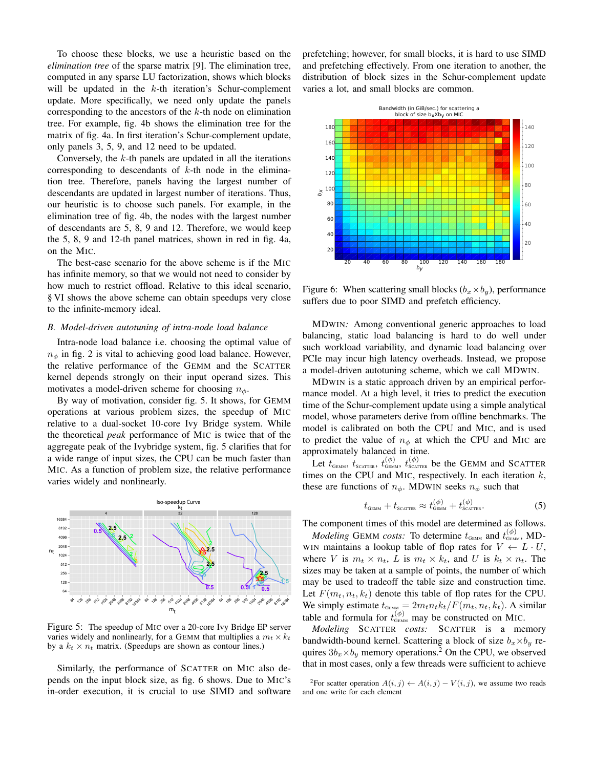To choose these blocks, we use a heuristic based on the *elimination tree* of the sparse matrix [9]. The elimination tree, computed in any sparse LU factorization, shows which blocks will be updated in the  $k$ -th iteration's Schur-complement update. More specifically, we need only update the panels corresponding to the ancestors of the  $k$ -th node on elimination tree. For example, fig. 4b shows the elimination tree for the matrix of fig. 4a. In first iteration's Schur-complement update, only panels 3, 5, 9, and 12 need to be updated.

Conversely, the  $k$ -th panels are updated in all the iterations corresponding to descendants of  $k$ -th node in the elimination tree. Therefore, panels having the largest number of descendants are updated in largest number of iterations. Thus, our heuristic is to choose such panels. For example, in the elimination tree of fig. 4b, the nodes with the largest number of descendants are 5, 8, 9 and 12. Therefore, we would keep the 5, 8, 9 and 12-th panel matrices, shown in red in fig. 4a, on the MIC.

The best-case scenario for the above scheme is if the MIC has infinite memory, so that we would not need to consider by how much to restrict offload. Relative to this ideal scenario, § VI shows the above scheme can obtain speedups very close to the infinite-memory ideal.

#### *B. Model-driven autotuning of intra-node load balance*

Intra-node load balance i.e. choosing the optimal value of  $n_{\phi}$  in fig. 2 is vital to achieving good load balance. However, the relative performance of the GEMM and the SCATTER kernel depends strongly on their input operand sizes. This motivates a model-driven scheme for choosing  $n_{\phi}$ .

By way of motivation, consider fig. 5. It shows, for GEMM operations at various problem sizes, the speedup of MIC relative to a dual-socket 10-core Ivy Bridge system. While the theoretical *peak* performance of MIC is twice that of the aggregate peak of the Ivybridge system, fig. 5 clarifies that for a wide range of input sizes, the CPU can be much faster than MIC. As a function of problem size, the relative performance varies widely and nonlinearly.



Figure 5: The speedup of MIC over a 20-core Ivy Bridge EP server varies widely and nonlinearly, for a GEMM that multiplies a  $m_t \times k_t$ by a  $k_t \times n_t$  matrix. (Speedups are shown as contour lines.)

Similarly, the performance of SCATTER on MIC also depends on the input block size, as fig. 6 shows. Due to MIC's in-order execution, it is crucial to use SIMD and software prefetching; however, for small blocks, it is hard to use SIMD and prefetching effectively. From one iteration to another, the distribution of block sizes in the Schur-complement update varies a lot, and small blocks are common.



Figure 6: When scattering small blocks  $(b_x \times b_y)$ , performance suffers due to poor SIMD and prefetch efficiency.

MDWIN*:* Among conventional generic approaches to load balancing, static load balancing is hard to do well under such workload variability, and dynamic load balancing over PCIe may incur high latency overheads. Instead, we propose a model-driven autotuning scheme, which we call MDWIN.

MDWIN is a static approach driven by an empirical performance model. At a high level, it tries to predict the execution time of the Schur-complement update using a simple analytical model, whose parameters derive from offline benchmarks. The model is calibrated on both the CPU and MIC, and is used to predict the value of  $n_{\phi}$  at which the CPU and MIC are approximately balanced in time.

Let  $t_{\text{GEMM}}$ ,  $t_{\text{SCATTER}}$ ,  $t_{\text{GEMM}}^{(\phi)}$ ,  $t_{\text{SCATTER}}^{(\phi)}$  be the GEMM and SCATTER times on the CPU and MIC, respectively. In each iteration  $k$ , these are functions of  $n_{\phi}$ . MDWIN seeks  $n_{\phi}$  such that

$$
t_{\text{GEMM}} + t_{\text{SCATTER}} \approx t_{\text{GEMM}}^{(\phi)} + t_{\text{SCATTER}}^{(\phi)}.
$$
 (5)

The component times of this model are determined as follows.

*Modeling* GEMM *costs:* To determine  $t_{\text{GEMM}}$  and  $t_{\text{GEMM}}^{(\phi)}$ , MD-WIN maintains a lookup table of flop rates for  $V \leftarrow L \cdot U$ , where V is  $m_t \times n_t$ , L is  $m_t \times k_t$ , and U is  $k_t \times n_t$ . The sizes may be taken at a sample of points, the number of which may be used to tradeoff the table size and construction time. Let  $F(m_t, n_t, k_t)$  denote this table of flop rates for the CPU. We simply estimate  $t_{\text{GEMM}} = 2m_t n_t k_t / F(m_t, n_t, k_t)$ . A similar table and formula for  $t_{\text{GEMM}}^{(\phi)}$  may be constructed on MIC.

*Modeling* SCATTER *costs:* SCATTER is a memory bandwidth-bound kernel. Scattering a block of size  $b_x \times b_y$  requires  $3b_x \times b_y$  memory operations.<sup>2</sup> On the CPU, we observed that in most cases, only a few threads were sufficient to achieve

<sup>&</sup>lt;sup>2</sup>For scatter operation  $A(i, j) \leftarrow A(i, j) - V(i, j)$ , we assume two reads and one write for each element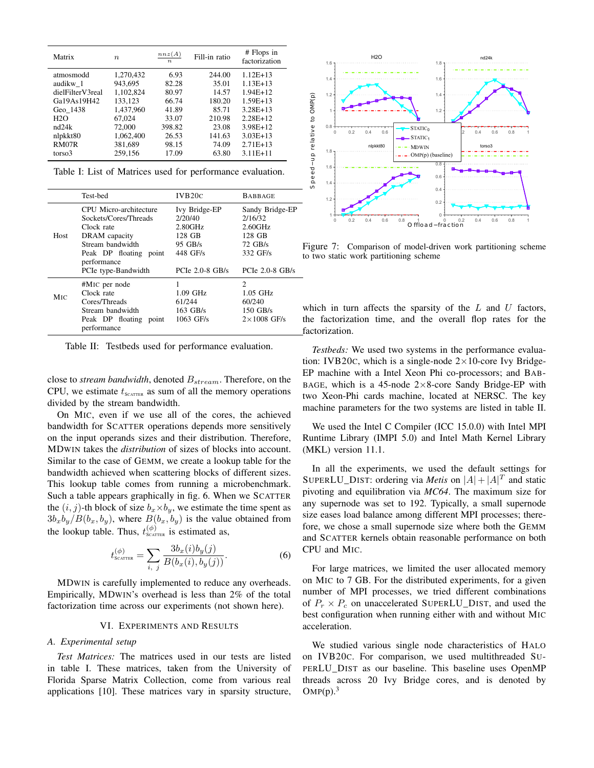| Matrix           | $\boldsymbol{n}$ | nnz(A)<br>$\boldsymbol{n}$ | Fill-in ratio | # Flops in<br>factorization |
|------------------|------------------|----------------------------|---------------|-----------------------------|
| atmosmodd        | 1,270,432        | 6.93                       | 244.00        | $1.12E+13$                  |
| audikw 1         | 943.695          | 82.28                      | 35.01         | $1.13E+13$                  |
| dielFilterV3real | 1.102.824        | 80.97                      | 14.57         | $1.94E+12$                  |
| Ga19As19H42      | 133,123          | 66.74                      | 180.20        | $1.59E+13$                  |
| Geo 1438         | 1.437.960        | 41.89                      | 85.71         | $3.28E+13$                  |
| H2O              | 67.024           | 33.07                      | 210.98        | $2.28E+12$                  |
| nd24k            | 72,000           | 398.82                     | 23.08         | 3.98E+12                    |
| nlpkkt80         | 1.062.400        | 26.53                      | 141.63        | $3.03E+13$                  |
| RM07R            | 381,689          | 98.15                      | 74.09         | $2.71E+13$                  |
| torso3           | 259.156          | 17.09                      | 63.80         | $3.11E + 11$                |

Table I: List of Matrices used for performance evaluation.

|            | Test-bed                                                                                                                                       | IVB20C                                                                 | <b>BABBAGE</b>                                                                          |
|------------|------------------------------------------------------------------------------------------------------------------------------------------------|------------------------------------------------------------------------|-----------------------------------------------------------------------------------------|
| Host       | CPU Micro-architecture<br>Sockets/Cores/Threads<br>Clock rate<br>DRAM capacity<br>Stream bandwidth<br>Peak DP floating<br>point<br>performance | Ivy Bridge-EP<br>2/20/40<br>2.80GHz<br>128 GB<br>$95$ GB/s<br>448 GF/s | Sandy Bridge-EP<br>2/16/32<br>$2.60$ GHz<br>128 GB<br>$72 \text{ GB/s}$<br>332 GF/s     |
|            | PCIe type-Bandwidth                                                                                                                            | PCI $e$ 2.0-8 GB/s                                                     | PCI $e$ 2.0-8 GB/s                                                                      |
| <b>MIC</b> | #M <sub>IC</sub> per node<br>Clock rate<br>Cores/Threads<br>Stream bandwidth<br>Peak DP floating<br>point<br>performance                       | $1.09$ GHz<br>61/244<br>$163$ GB/s<br>$1063$ GF/s                      | $\mathcal{D}_{\mathcal{L}}$<br>$1.05$ GHz<br>60/240<br>$150$ GB/s<br>$2\times1008$ GF/s |

Table II: Testbeds used for performance evaluation.

close to *stream bandwidth*, denoted  $B_{stream}$ . Therefore, on the CPU, we estimate  $t_{\text{SCATTER}}$  as sum of all the memory operations divided by the stream bandwidth.

On MIC, even if we use all of the cores, the achieved bandwidth for SCATTER operations depends more sensitively on the input operands sizes and their distribution. Therefore, MDWIN takes the *distribution* of sizes of blocks into account. Similar to the case of GEMM, we create a lookup table for the bandwidth achieved when scattering blocks of different sizes. This lookup table comes from running a microbenchmark. Such a table appears graphically in fig. 6. When we SCATTER the  $(i, j)$ -th block of size  $b_x \times b_y$ , we estimate the time spent as  $3b_xb_y/B(b_x, b_y)$ , where  $B(b_x, b_y)$  is the value obtained from the lookup table. Thus,  $t_{\text{SCATTER}}^{(\phi)}$  is estimated as,

$$
t_{\text{SCTTER}}^{(\phi)} = \sum_{i, j} \frac{3b_x(i)b_y(j)}{B(b_x(i), b_y(j))}.
$$
 (6)

MDWIN is carefully implemented to reduce any overheads. Empirically, MDWIN's overhead is less than 2% of the total factorization time across our experiments (not shown here).

#### VI. EXPERIMENTS AND RESULTS

## *A. Experimental setup*

*Test Matrices:* The matrices used in our tests are listed in table I. These matrices, taken from the University of Florida Sparse Matrix Collection, come from various real applications [10]. These matrices vary in sparsity structure,



Figure 7: Comparison of model-driven work partitioning scheme to two static work partitioning scheme

which in turn affects the sparsity of the  $L$  and  $U$  factors, the factorization time, and the overall flop rates for the factorization.

*Testbeds:* We used two systems in the performance evaluation: IVB20c, which is a single-node  $2 \times 10$ -core Ivy Bridge-EP machine with a Intel Xeon Phi co-processors; and BAB-BAGE, which is a 45-node  $2 \times 8$ -core Sandy Bridge-EP with two Xeon-Phi cards machine, located at NERSC. The key machine parameters for the two systems are listed in table II.

We used the Intel C Compiler (ICC 15.0.0) with Intel MPI Runtime Library (IMPI 5.0) and Intel Math Kernel Library (MKL) version 11.1.

In all the experiments, we used the default settings for SUPERLU\_DIST: ordering via *Metis* on  $|A| + |A|^T$  and static pivoting and equilibration via *MC64*. The maximum size for any supernode was set to 192. Typically, a small supernode size eases load balance among different MPI processes; therefore, we chose a small supernode size where both the GEMM and SCATTER kernels obtain reasonable performance on both CPU and MIC.

For large matrices, we limited the user allocated memory on MIC to 7 GB. For the distributed experiments, for a given number of MPI processes, we tried different combinations of  $P_r \times P_c$  on unaccelerated SUPERLU\_DIST, and used the best configuration when running either with and without MIC acceleration.

We studied various single node characteristics of HALO on IVB20C. For comparison, we used multithreaded SU-PERLU\_DIST as our baseline. This baseline uses OpenMP threads across 20 Ivy Bridge cores, and is denoted by  $OMP(p).$ <sup>3</sup>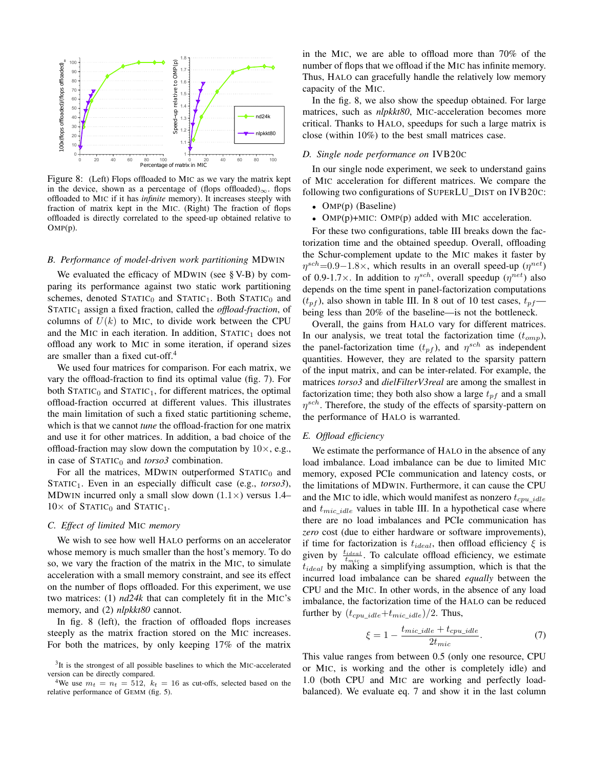

Figure 8: (Left) Flops offloaded to MIC as we vary the matrix kept in the device, shown as a percentage of (flops offloaded)<sub>∞</sub>. flops offloaded to MIC if it has *infinite* memory). It increases steeply with fraction of matrix kept in the MIC. (Right) The fraction of flops offloaded is directly correlated to the speed-up obtained relative to OMP(p).

#### *B. Performance of model-driven work partitioning* MDWIN

We evaluated the efficacy of MDWIN (see § V-B) by comparing its performance against two static work partitioning schemes, denoted  $STATIC_0$  and  $STATIC_1$ . Both  $STATIC_0$  and STATIC<sub>1</sub> assign a fixed fraction, called the *offload-fraction*, of columns of  $U(k)$  to MIC, to divide work between the CPU and the MIC in each iteration. In addition,  $STATIC<sub>1</sub>$  does not offload any work to MIC in some iteration, if operand sizes are smaller than a fixed cut-off.<sup>4</sup>

We used four matrices for comparison. For each matrix, we vary the offload-fraction to find its optimal value (fig. 7). For both  $STATIC_0$  and  $STATIC_1$ , for different matrices, the optimal offload-fraction occurred at different values. This illustrates the main limitation of such a fixed static partitioning scheme, which is that we cannot *tune* the offload-fraction for one matrix and use it for other matrices. In addition, a bad choice of the offload-fraction may slow down the computation by  $10\times$ , e.g., in case of  $STATIC<sub>0</sub>$  and *torso3* combination.

For all the matrices, MDWIN outperformed  $STATIC<sub>0</sub>$  and STATIC<sub>1</sub>. Even in an especially difficult case (e.g., *torso3*), MDWIN incurred only a small slow down  $(1.1\times)$  versus 1.4–  $10\times$  of STATIC<sub>0</sub> and STATIC<sub>1</sub>.

## *C. Effect of limited* MIC *memory*

We wish to see how well HALO performs on an accelerator whose memory is much smaller than the host's memory. To do so, we vary the fraction of the matrix in the MIC, to simulate acceleration with a small memory constraint, and see its effect on the number of flops offloaded. For this experiment, we use two matrices: (1) *nd24k* that can completely fit in the MIC's memory, and (2) *nlpkkt80* cannot.

In fig. 8 (left), the fraction of offloaded flops increases steeply as the matrix fraction stored on the MIC increases. For both the matrices, by only keeping 17% of the matrix in the MIC, we are able to offload more than 70% of the number of flops that we offload if the MIC has infinite memory. Thus, HALO can gracefully handle the relatively low memory capacity of the MIC.

In the fig. 8, we also show the speedup obtained. For large matrices, such as *nlpkkt80*, MIC-acceleration becomes more critical. Thanks to HALO, speedups for such a large matrix is close (within 10%) to the best small matrices case.

## *D. Single node performance on* IVB20C

In our single node experiment, we seek to understand gains of MIC acceleration for different matrices. We compare the following two configurations of SUPERLU\_DIST on IVB20C:

- OMP(p) (Baseline)
- OMP(p)+MIC: OMP(p) added with MIC acceleration.

For these two configurations, table III breaks down the factorization time and the obtained speedup. Overall, offloading the Schur-complement update to the MIC makes it faster by  $\eta^{sch}=0.9-1.8\times$ , which results in an overall speed-up  $(\eta^{net})$ of 0.9-1.7 $\times$ . In addition to  $\eta^{sch}$ , overall speedup  $(\eta^{net})$  also depends on the time spent in panel-factorization computations  $(t_{pf})$ , also shown in table III. In 8 out of 10 test cases,  $t_{pf}$  being less than 20% of the baseline—is not the bottleneck.

Overall, the gains from HALO vary for different matrices. In our analysis, we treat total the factorization time  $(t_{omp})$ , the panel-factorization time  $(t_{pf})$ , and  $\eta^{sch}$  as independent quantities. However, they are related to the sparsity pattern of the input matrix, and can be inter-related. For example, the matrices *torso3* and *dielFilterV3real* are among the smallest in factorization time; they both also show a large  $t_{pf}$  and a small  $\eta^{sch}$ . Therefore, the study of the effects of sparsity-pattern on the performance of HALO is warranted.

#### *E. Offload efficiency*

We estimate the performance of HALO in the absence of any load imbalance. Load imbalance can be due to limited MIC memory, exposed PCIe communication and latency costs, or the limitations of MDWIN. Furthermore, it can cause the CPU and the MIC to idle, which would manifest as nonzero  $t_{cpu\_idle}$ and  $t_{mic\_idle}$  values in table III. In a hypothetical case where there are no load imbalances and PCIe communication has *zero* cost (due to either hardware or software improvements), if time for factorization is  $t_{ideal}$ , then offload efficiency  $\xi$  is given by  $\frac{t_{ideal}}{t_{mic}}$ . To calculate offload efficiency, we estimate  $t_{ideal}$  by making a simplifying assumption, which is that the incurred load imbalance can be shared *equally* between the CPU and the MIC. In other words, in the absence of any load imbalance, the factorization time of the HALO can be reduced further by  $(t_{cpu\_idle}+t_{mic\_idle})/2$ . Thus,

$$
\xi = 1 - \frac{t_{mic\_idle} + t_{cpu\_idle}}{2t_{mic}}.\tag{7}
$$

This value ranges from between 0.5 (only one resource, CPU or MIC, is working and the other is completely idle) and 1.0 (both CPU and MIC are working and perfectly loadbalanced). We evaluate eq. 7 and show it in the last column

<sup>&</sup>lt;sup>3</sup>It is the strongest of all possible baselines to which the MIC-accelerated version can be directly compared.

<sup>&</sup>lt;sup>4</sup>We use  $m_t = n_t = 512$ ,  $k_t = 16$  as cut-offs, selected based on the relative performance of GEMM (fig. 5).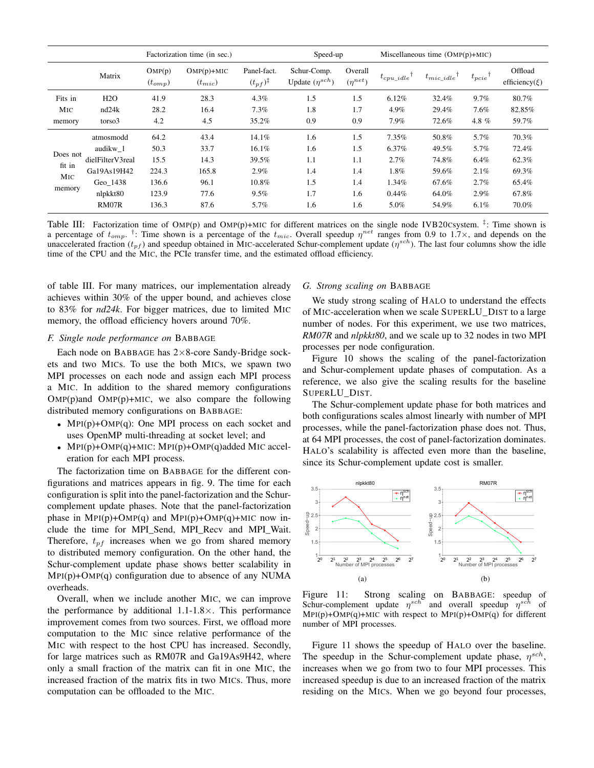|                                                 |                    | Factorization time (in sec.) |                             |                                      | Speed-up                             |                           | Miscellaneous time $(OMP(p)+MIC)$ |                 |            |                                |
|-------------------------------------------------|--------------------|------------------------------|-----------------------------|--------------------------------------|--------------------------------------|---------------------------|-----------------------------------|-----------------|------------|--------------------------------|
|                                                 | Matrix             | OMP(p)<br>$(t_{omp})$        | $OMP(p)+MIC$<br>$(t_{mic})$ | Panel-fact.<br>$(t_{pf})^{\ddagger}$ | Schur-Comp.<br>Update $(\eta^{sch})$ | Overall<br>$(\eta^{net})$ | $t_{cpu\_idle}$                   | $t_{mic\_idle}$ | $t_{pcie}$ | Offload<br>efficiency( $\xi$ ) |
| Fits in                                         | H2O                | 41.9                         | 28.3                        | $4.3\%$                              | 1.5                                  | 1.5                       | 6.12%                             | 32.4%           | $9.7\%$    | 80.7%                          |
| MIC                                             | nd <sub>24</sub> k | 28.2                         | 16.4                        | 7.3%                                 | 1.8                                  | 1.7                       | 4.9%                              | 29.4%           | 7.6%       | 82.85%                         |
| memory                                          | torso3             | 4.2                          | 4.5                         | 35.2%                                | 0.9                                  | 0.9                       | 7.9%                              | 72.6%           | 4.8 %      | 59.7%                          |
| Does not<br>fit in<br>M <sub>IC</sub><br>memory | atmosmodd          | 64.2                         | 43.4                        | 14.1%                                | 1.6                                  | 1.5                       | 7.35%                             | 50.8%           | 5.7%       | 70.3%                          |
|                                                 | audikw 1           | 50.3                         | 33.7                        | 16.1%                                | 1.6                                  | 1.5                       | 6.37%                             | 49.5%           | 5.7%       | 72.4%                          |
|                                                 | dielFilterV3real   | 15.5                         | 14.3                        | 39.5%                                | 1.1                                  | 1.1                       | 2.7%                              | 74.8%           | 6.4%       | 62.3%                          |
|                                                 | Ga19As19H42        | 224.3                        | 165.8                       | 2.9%                                 | 1.4                                  | 1.4                       | 1.8%                              | 59.6%           | 2.1%       | 69.3%                          |
|                                                 | Geo 1438           | 136.6                        | 96.1                        | 10.8%                                | 1.5                                  | 1.4                       | 1.34%                             | 67.6%           | 2.7%       | 65.4%                          |
|                                                 | nlpkkt80           | 123.9                        | 77.6                        | $9.5\%$                              | 1.7                                  | 1.6                       | $0.44\%$                          | 64.0%           | 2.9%       | 67.8%                          |
|                                                 | RM07R              | 136.3                        | 87.6                        | 5.7%                                 | 1.6                                  | 1.6                       | 5.0%                              | 54.9%           | $6.1\%$    | 70.0%                          |

Table III: Factorization time of OMP(p) and OMP(p)+MIC for different matrices on the single node IVB20Csystem.<sup>‡</sup>: Time shown is a percentage of  $t_{omp}$ . <sup>†</sup>: Time shown is a percentage of the  $t_{mic}$ . Overall speedup  $\eta^{net}$  ranges from 0.9 to 1.7×, and depends on the unaccelerated fraction  $(t_{pf})$  and speedup obtained in MIC-accelerated Schur-complement update  $(\eta^{sch})$ . The last four columns show the idle time of the CPU and the MIC, the PCIe transfer time, and the estimated offload efficiency.

of table III. For many matrices, our implementation already achieves within 30% of the upper bound, and achieves close to 83% for *nd24k*. For bigger matrices, due to limited MIC memory, the offload efficiency hovers around 70%.

## *F. Single node performance on* BABBAGE

Each node on BABBAGE has 2×8-core Sandy-Bridge sockets and two MICs. To use the both MICs, we spawn two MPI processes on each node and assign each MPI process a MIC. In addition to the shared memory configurations  $OMP(p)$ and  $OMP(p) + MIC$ , we also compare the following distributed memory configurations on BABBAGE:

- $MPI(p)+OMP(q)$ : One MPI process on each socket and uses OpenMP multi-threading at socket level; and
- MPI(p)+OMP(q)+MIC: MPI(p)+OMP(q)added MIC acceleration for each MPI process.

The factorization time on BABBAGE for the different configurations and matrices appears in fig. 9. The time for each configuration is split into the panel-factorization and the Schurcomplement update phases. Note that the panel-factorization phase in  $MPI(p)+OMP(q)$  and  $MPI(p)+OMP(q)+MIC$  now include the time for MPI\_Send, MPI\_Recv and MPI\_Wait. Therefore,  $t_{pf}$  increases when we go from shared memory to distributed memory configuration. On the other hand, the Schur-complement update phase shows better scalability in MPI(p)+OMP(q) configuration due to absence of any NUMA overheads.

Overall, when we include another MIC, we can improve the performance by additional  $1.1\n-1.8\times$ . This performance improvement comes from two sources. First, we offload more computation to the MIC since relative performance of the MIC with respect to the host CPU has increased. Secondly, for large matrices such as RM07R and Ga19As9H42, where only a small fraction of the matrix can fit in one MIC, the increased fraction of the matrix fits in two MICs. Thus, more computation can be offloaded to the MIC.

#### *G. Strong scaling on* BABBAGE

We study strong scaling of HALO to understand the effects of MIC-acceleration when we scale SUPERLU\_DIST to a large number of nodes. For this experiment, we use two matrices, *RM07R* and *nlpkkt80*, and we scale up to 32 nodes in two MPI processes per node configuration.

Figure 10 shows the scaling of the panel-factorization and Schur-complement update phases of computation. As a reference, we also give the scaling results for the baseline SUPERLU\_DIST.

The Schur-complement update phase for both matrices and both configurations scales almost linearly with number of MPI processes, while the panel-factorization phase does not. Thus, at 64 MPI processes, the cost of panel-factorization dominates. HALO's scalability is affected even more than the baseline, since its Schur-complement update cost is smaller.



Figure 11: Strong scaling on BABBAGE: speedup of Schur-complement update  $\eta^{sch}$  and overall speedup  $\eta^{sch}$  of MPI(p)+OMP(q)+MIC with respect to MPI(p)+OMP(q) for different number of MPI processes.

Figure 11 shows the speedup of HALO over the baseline. The speedup in the Schur-complement update phase,  $\eta^{sch}$ , increases when we go from two to four MPI processes. This increased speedup is due to an increased fraction of the matrix residing on the MICs. When we go beyond four processes,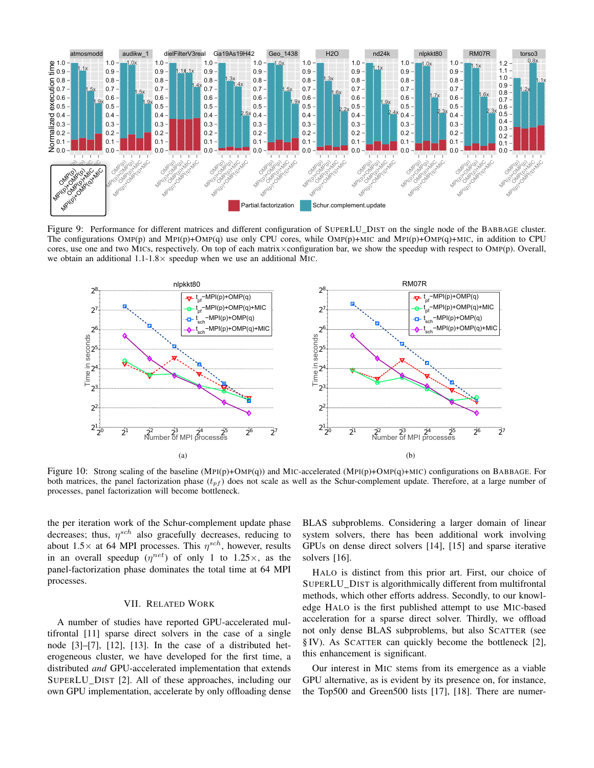

Figure 9: Performance for different matrices and different configuration of SUPERLU\_DIST on the single node of the BABBAGE cluster. The configurations OMP(p) and MPI(p)+OMP(q) use only CPU cores, while OMP(p)+MIC and MPI(p)+OMP(q)+MIC, in addition to CPU cores, use one and two MICs, respectively. On top of each matrix×configuration bar, we show the speedup with respect to OMP(p). Overall, we obtain an additional  $1.1-1.8\times$  speedup when we use an additional MIC.



Figure 10: Strong scaling of the baseline (MPI(p)+OMP(q)) and MIC-accelerated (MPI(p)+OMP(q)+MIC) configurations on BABBAGE. For both matrices, the panel factorization phase  $(t_{pf})$  does not scale as well as the Schur-complement update. Therefore, at a large number of processes, panel factorization will become bottleneck.

the per iteration work of the Schur-complement update phase decreases; thus,  $\eta^{sch}$  also gracefully decreases, reducing to about 1.5 $\times$  at 64 MPI processes. This  $\eta^{sch}$ , however, results in an overall speedup  $(\eta^{net})$  of only 1 to 1.25 $\times$ , as the panel-factorization phase dominates the total time at 64 MPI processes.

#### VII. RELATED WORK

A number of studies have reported GPU-accelerated multifrontal [11] sparse direct solvers in the case of a single node [3]–[7], [12], [13]. In the case of a distributed heterogeneous cluster, we have developed for the first time, a distributed *and* GPU-accelerated implementation that extends SUPERLU\_DIST [2]. All of these approaches, including our own GPU implementation, accelerate by only offloading dense BLAS subproblems. Considering a larger domain of linear system solvers, there has been additional work involving GPUs on dense direct solvers [14], [15] and sparse iterative solvers [16].

HALO is distinct from this prior art. First, our choice of SUPERLU\_DIST is algorithmically different from multifrontal methods, which other efforts address. Secondly, to our knowledge HALO is the first published attempt to use MIC-based acceleration for a sparse direct solver. Thirdly, we offload not only dense BLAS subproblems, but also SCATTER (see § IV). As SCATTER can quickly become the bottleneck [2], this enhancement is significant.

Our interest in MIC stems from its emergence as a viable GPU alternative, as is evident by its presence on, for instance, the Top500 and Green500 lists [17], [18]. There are numer